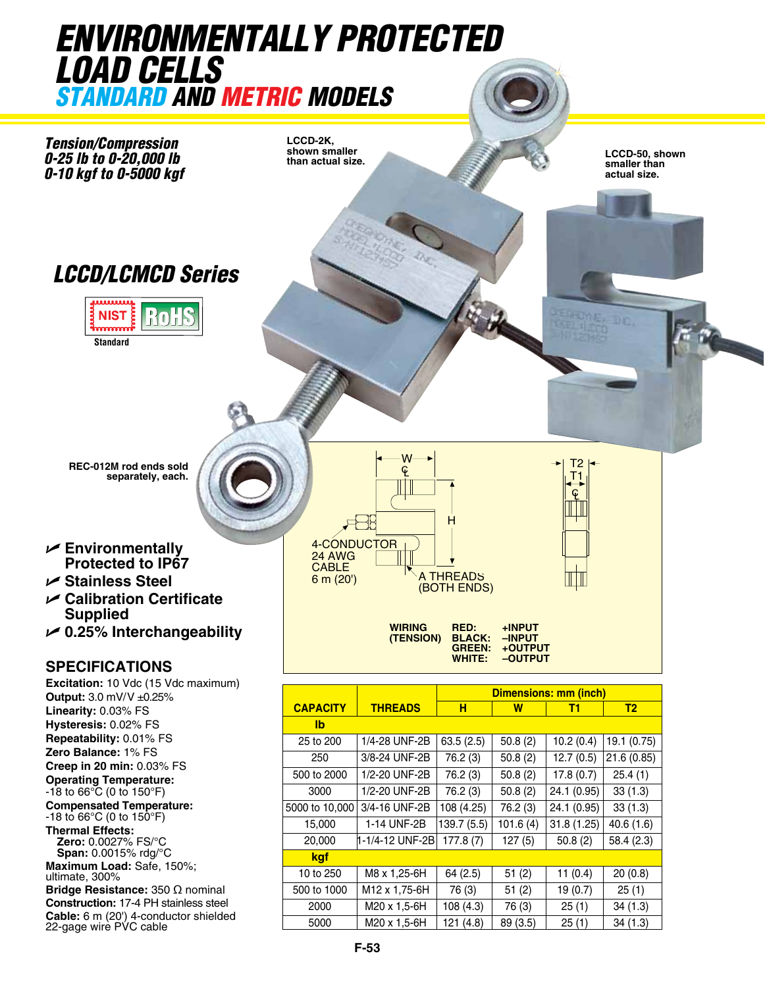